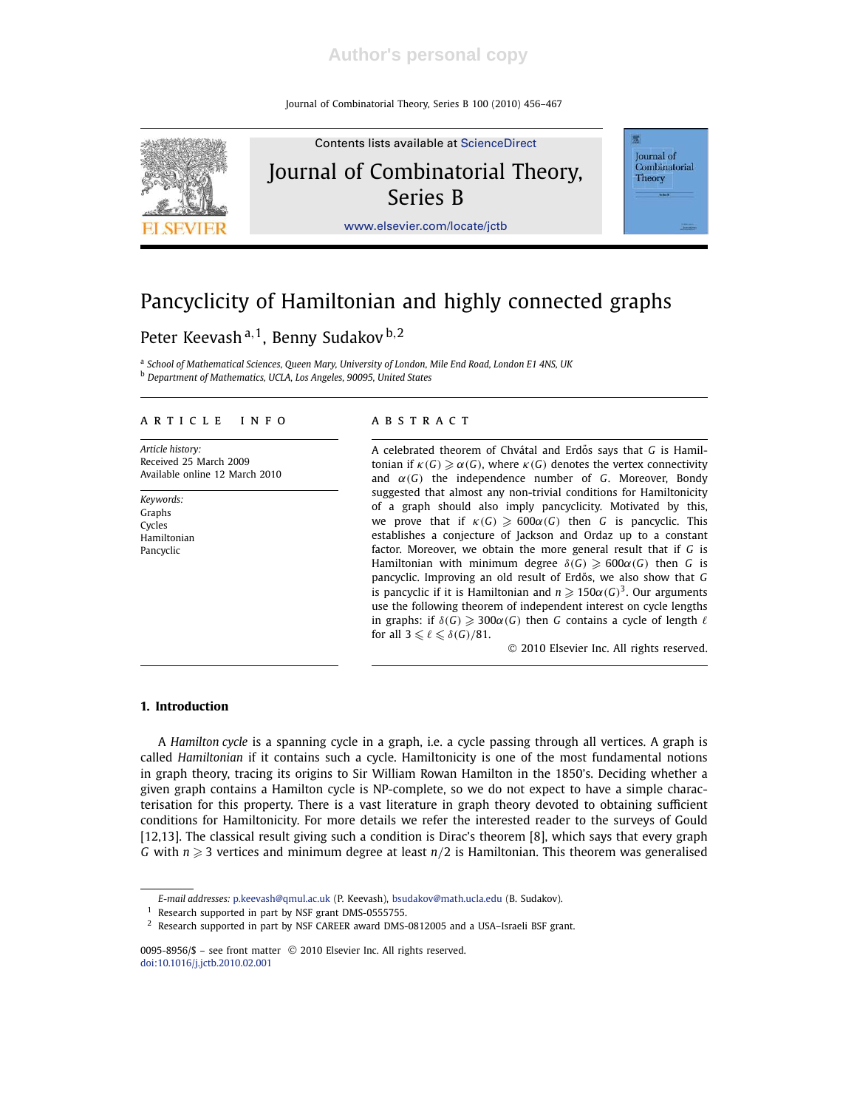Journal of Combinatorial Theory, Series B 100 (2010) 456–467



# Pancyclicity of Hamiltonian and highly connected graphs

## Peter Keevash<sup>a, 1</sup>, Benny Sudakov <sup>b, 2</sup>

a *School of Mathematical Sciences, Queen Mary, University of London, Mile End Road, London E1 4NS, UK* <sup>b</sup> *Department of Mathematics, UCLA, Los Angeles, 90095, United States*

#### A R T I C L E IN FOST A B S T R A C T

*Article history:* Received 25 March 2009 Available online 12 March 2010

*Keywords:* Graphs Cycles Hamiltonian Pancyclic

A celebrated theorem of Chvátal and Erdős says that G is Hamiltonian if  $\kappa(G) \geq \alpha(G)$ , where  $\kappa(G)$  denotes the vertex connectivity and  $\alpha(G)$  the independence number of *G*. Moreover, Bondy suggested that almost any non-trivial conditions for Hamiltonicity of a graph should also imply pancyclicity. Motivated by this, we prove that if  $\kappa(G) \geq 600\alpha(G)$  then *G* is pancyclic. This establishes a conjecture of Jackson and Ordaz up to a constant factor. Moreover, we obtain the more general result that if *G* is Hamiltonian with minimum degree  $\delta(G) \geq 600\alpha(G)$  then *G* is pancyclic. Improving an old result of Erdős, we also show that G is pancyclic if it is Hamiltonian and  $n \geqslant 150 \alpha(G)^3.$  Our arguments use the following theorem of independent interest on cycle lengths in graphs: if  $\delta(G) \geq 300\alpha(G)$  then *G* contains a cycle of length  $\ell$ for all  $3 \leq \ell \leq \delta(G)/81$ .

2010 Elsevier Inc. All rights reserved.

#### **1. Introduction**

A *Hamilton cycle* is a spanning cycle in a graph, i.e. a cycle passing through all vertices. A graph is called *Hamiltonian* if it contains such a cycle. Hamiltonicity is one of the most fundamental notions in graph theory, tracing its origins to Sir William Rowan Hamilton in the 1850's. Deciding whether a given graph contains a Hamilton cycle is NP-complete, so we do not expect to have a simple characterisation for this property. There is a vast literature in graph theory devoted to obtaining sufficient conditions for Hamiltonicity. For more details we refer the interested reader to the surveys of Gould [12,13]. The classical result giving such a condition is Dirac's theorem [8], which says that every graph *G* with  $n \geqslant 3$  vertices and minimum degree at least  $n/2$  is Hamiltonian. This theorem was generalised

*E-mail addresses:* p.keevash@qmul.ac.uk (P. Keevash), bsudakov@math.ucla.edu (B. Sudakov).

<sup>&</sup>lt;sup>1</sup> Research supported in part by NSF grant DMS-0555755.

<sup>2</sup> Research supported in part by NSF CAREER award DMS-0812005 and a USA–Israeli BSF grant.

<sup>0095-8956/\$ -</sup> see front matter © 2010 Elsevier Inc. All rights reserved. doi:10.1016/j.jctb.2010.02.001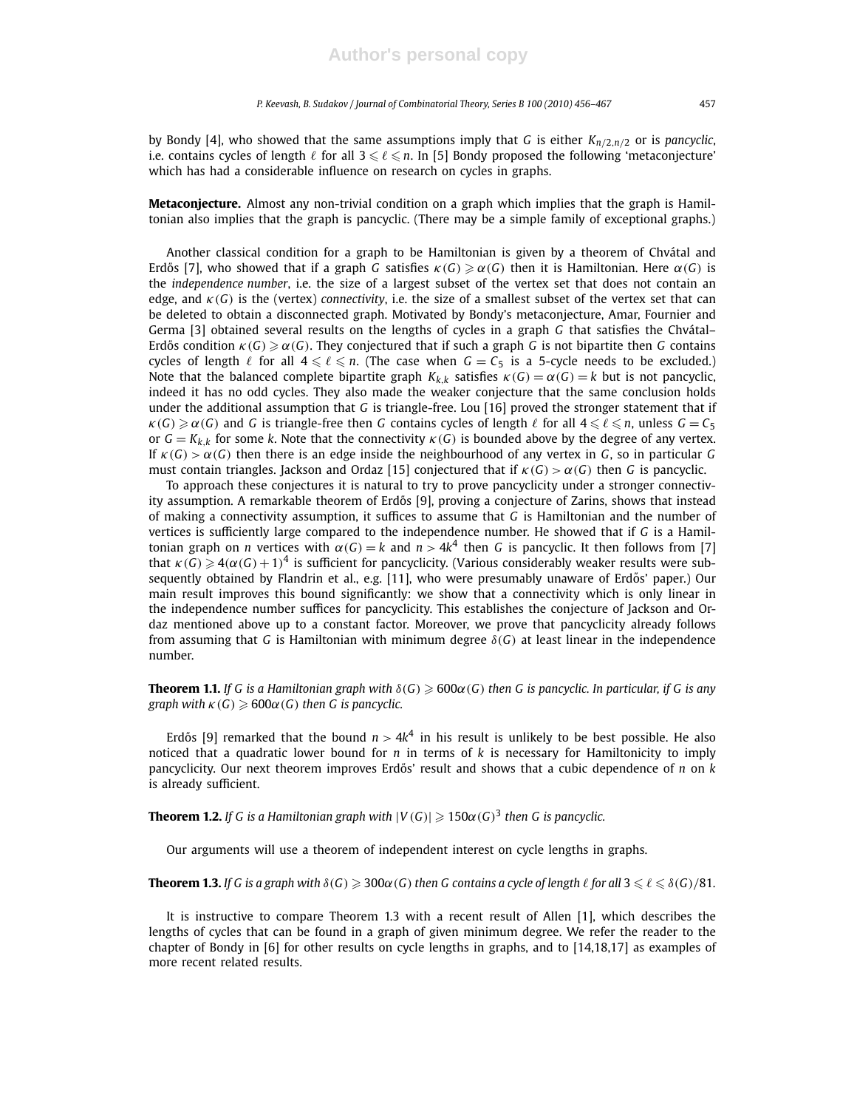by Bondy [4], who showed that the same assumptions imply that *G* is either *Kn*/2,*n*/<sup>2</sup> or is *pancyclic*, i.e. contains cycles of length  $\ell$  for all 3 ≤  $\ell$  ≤ n. In [5] Bondy proposed the following 'metaconjecture' which has had a considerable influence on research on cycles in graphs.

**Metaconjecture.** Almost any non-trivial condition on a graph which implies that the graph is Hamiltonian also implies that the graph is pancyclic. (There may be a simple family of exceptional graphs.)

Another classical condition for a graph to be Hamiltonian is given by a theorem of Chvátal and Erdős [7], who showed that if a graph *G* satisfies  $\kappa(G) \geq \alpha(G)$  then it is Hamiltonian. Here  $\alpha(G)$  is the *independence number*, i.e. the size of a largest subset of the vertex set that does not contain an edge, and  $\kappa(G)$  is the (vertex) *connectivity*, i.e. the size of a smallest subset of the vertex set that can be deleted to obtain a disconnected graph. Motivated by Bondy's metaconjecture, Amar, Fournier and Germa [3] obtained several results on the lengths of cycles in a graph *G* that satisfies the Chvátal– Erdős condition  $\kappa(G) \geq \alpha(G)$ . They conjectured that if such a graph *G* is not bipartite then *G* contains cycles of length  $\ell$  for all  $4 \leq \ell \leq n$ . (The case when  $G = C_5$  is a 5-cycle needs to be excluded.) Note that the balanced complete bipartite graph  $K_{k,k}$  satisfies  $\kappa(G) = \alpha(G) = k$  but is not pancyclic, indeed it has no odd cycles. They also made the weaker conjecture that the same conclusion holds under the additional assumption that *G* is triangle-free. Lou [16] proved the stronger statement that if  $\kappa(G) \geq \alpha(G)$  and *G* is triangle-free then *G* contains cycles of length  $\ell$  for all  $4 \leq \ell \leq n$ , unless  $G = C_5$ or  $G = K_{k,k}$  for some k. Note that the connectivity  $\kappa(G)$  is bounded above by the degree of any vertex. If  $\kappa(G) > \alpha(G)$  then there is an edge inside the neighbourhood of any vertex in *G*, so in particular *G* must contain triangles. Jackson and Ordaz [15] conjectured that if  $\kappa(G) > \alpha(G)$  then *G* is pancyclic.

To approach these conjectures it is natural to try to prove pancyclicity under a stronger connectivity assumption. A remarkable theorem of Erdős [9], proving a conjecture of Zarins, shows that instead of making a connectivity assumption, it suffices to assume that *G* is Hamiltonian and the number of vertices is sufficiently large compared to the independence number. He showed that if *G* is a Hamiltonian graph on *n* vertices with  $\alpha(G) = k$  and  $n > 4k^4$  then *G* is pancyclic. It then follows from [7] that  $\kappa(G) \geqslant 4(\alpha(G)+1)^4$  is sufficient for pancyclicity. (Various considerably weaker results were subsequently obtained by Flandrin et al., e.g. [11], who were presumably unaware of Erdős' paper.) Our main result improves this bound significantly: we show that a connectivity which is only linear in the independence number suffices for pancyclicity. This establishes the conjecture of Jackson and Ordaz mentioned above up to a constant factor. Moreover, we prove that pancyclicity already follows from assuming that *G* is Hamiltonian with minimum degree  $\delta(G)$  at least linear in the independence number.

**Theorem 1.1.** *If G is a Hamiltonian graph with*  $\delta(G) \ge 600\alpha(G)$  *then G is pancyclic. In particular, if G is any graph with*  $\kappa(G) \geq 600\alpha(G)$  *then G is pancyclic.* 

Erdős [9] remarked that the bound  $n > 4k^4$  in his result is unlikely to be best possible. He also noticed that a quadratic lower bound for *n* in terms of *k* is necessary for Hamiltonicity to imply pancyclicity. Our next theorem improves Erdős' result and shows that a cubic dependence of *n* on *k* is already sufficient.

**Theorem 1.2.** If G is a Hamiltonian graph with  $|V(G)| \geqslant 150\alpha(G)^3$  then G is pancyclic.

Our arguments will use a theorem of independent interest on cycle lengths in graphs.

**Theorem 1.3.** *If G is a graph with*  $\delta(G) \geq 300\alpha(G)$  *then G contains a cycle of length*  $\ell$  *for all*  $3 \leq \ell \leq \delta(G)/81$ *.* 

It is instructive to compare Theorem 1.3 with a recent result of Allen [1], which describes the lengths of cycles that can be found in a graph of given minimum degree. We refer the reader to the chapter of Bondy in [6] for other results on cycle lengths in graphs, and to [14,18,17] as examples of more recent related results.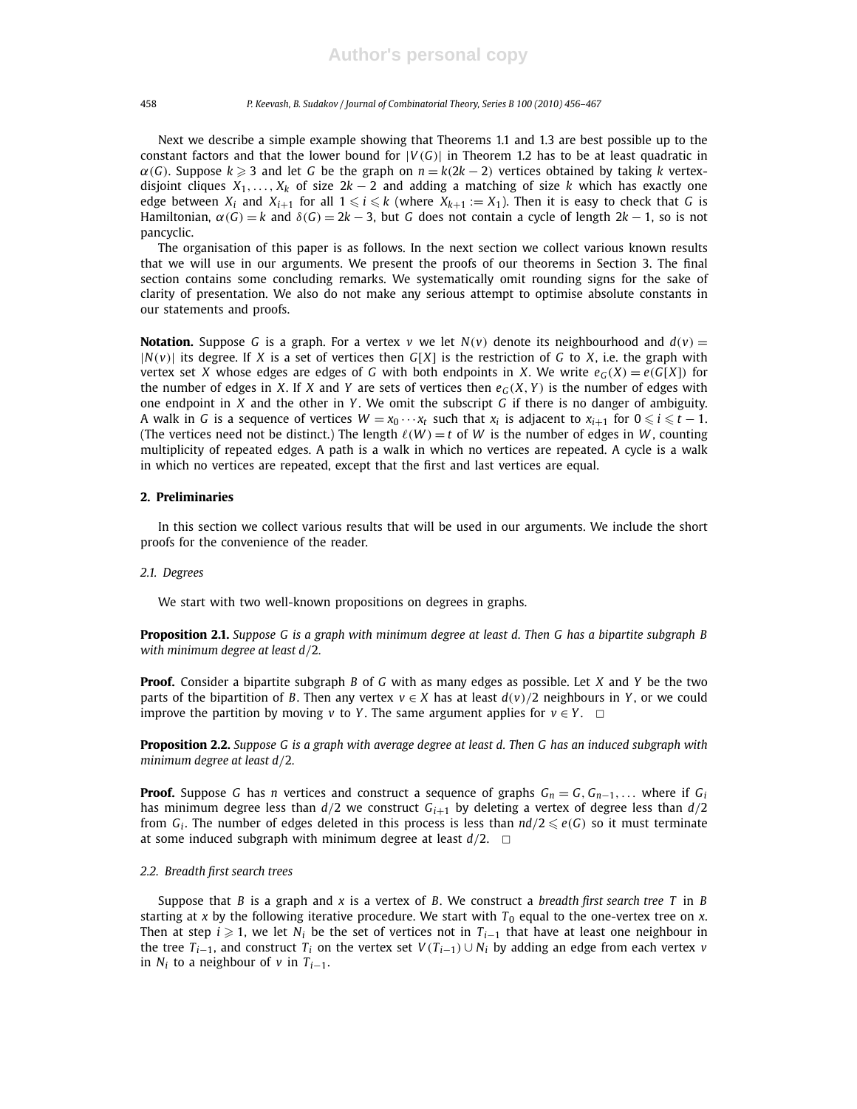Next we describe a simple example showing that Theorems 1.1 and 1.3 are best possible up to the constant factors and that the lower bound for  $|V(G)|$  in Theorem 1.2 has to be at least quadratic in  $\alpha(G)$ . Suppose  $k \geq 3$  and let *G* be the graph on  $n = k(2k - 2)$  vertices obtained by taking *k* vertexdisjoint cliques  $X_1, \ldots, X_k$  of size  $2k - 2$  and adding a matching of size *k* which has exactly one edge between  $X_i$  and  $X_{i+1}$  for all  $1 \leq i \leq k$  (where  $X_{k+1} := X_1$ ). Then it is easy to check that *G* is Hamiltonian,  $\alpha(G) = k$  and  $\delta(G) = 2k - 3$ , but *G* does not contain a cycle of length  $2k - 1$ , so is not pancyclic.

The organisation of this paper is as follows. In the next section we collect various known results that we will use in our arguments. We present the proofs of our theorems in Section 3. The final section contains some concluding remarks. We systematically omit rounding signs for the sake of clarity of presentation. We also do not make any serious attempt to optimise absolute constants in our statements and proofs.

**Notation.** Suppose G is a graph. For a vertex *v* we let  $N(v)$  denote its neighbourhood and  $d(v)$  =  $|N(v)|$  its degree. If *X* is a set of vertices then  $G[X]$  is the restriction of *G* to *X*, i.e. the graph with vertex set *X* whose edges are edges of *G* with both endpoints in *X*. We write  $e_G(X) = e(G[X])$  for the number of edges in *X*. If *X* and *Y* are sets of vertices then  $e_G(X, Y)$  is the number of edges with one endpoint in *X* and the other in *Y* . We omit the subscript *G* if there is no danger of ambiguity. A walk in G is a sequence of vertices  $W = x_0 \cdots x_t$  such that  $x_i$  is adjacent to  $x_{i+1}$  for  $0 \leq i \leq t-1$ . (The vertices need not be distinct.) The length  $\ell(W) = t$  of *W* is the number of edges in *W*, counting multiplicity of repeated edges. A path is a walk in which no vertices are repeated. A cycle is a walk in which no vertices are repeated, except that the first and last vertices are equal.

#### **2. Preliminaries**

In this section we collect various results that will be used in our arguments. We include the short proofs for the convenience of the reader.

#### *2.1. Degrees*

We start with two well-known propositions on degrees in graphs.

**Proposition 2.1.** *Suppose G is a graph with minimum degree at least d. Then G has a bipartite subgraph B with minimum degree at least d*/2*.*

**Proof.** Consider a bipartite subgraph *B* of *G* with as many edges as possible. Let *X* and *Y* be the two parts of the bipartition of *B*. Then any vertex  $v \in X$  has at least  $d(v)/2$  neighbours in *Y*, or we could improve the partition by moving *v* to *Y*. The same argument applies for  $v \in Y$ .  $\Box$ 

**Proposition 2.2.** *Suppose G is a graph with average degree at least d. Then G has an induced subgraph with minimum degree at least d*/2*.*

**Proof.** Suppose *G* has *n* vertices and construct a sequence of graphs  $G_n = G$ ,  $G_{n-1}$ ,... where if  $G_i$ has minimum degree less than  $d/2$  we construct  $G_{i+1}$  by deleting a vertex of degree less than  $d/2$ from  $G_i$ . The number of edges deleted in this process is less than  $nd/2 \leqslant e(G)$  so it must terminate at some induced subgraph with minimum degree at least  $d/2$ .  $\Box$ 

#### *2.2. Breadth first search trees*

Suppose that *B* is a graph and *x* is a vertex of *B*. We construct a *breadth first search tree T* in *B* starting at *x* by the following iterative procedure. We start with  $T_0$  equal to the one-vertex tree on *x*. Then at step  $i \ge 1$ , we let  $N_i$  be the set of vertices not in  $T_{i-1}$  that have at least one neighbour in the tree  $T_{i-1}$ , and construct  $T_i$  on the vertex set  $V(T_{i-1}) \cup N_i$  by adding an edge from each vertex *v* in  $N_i$  to a neighbour of  $v$  in  $T_{i-1}$ .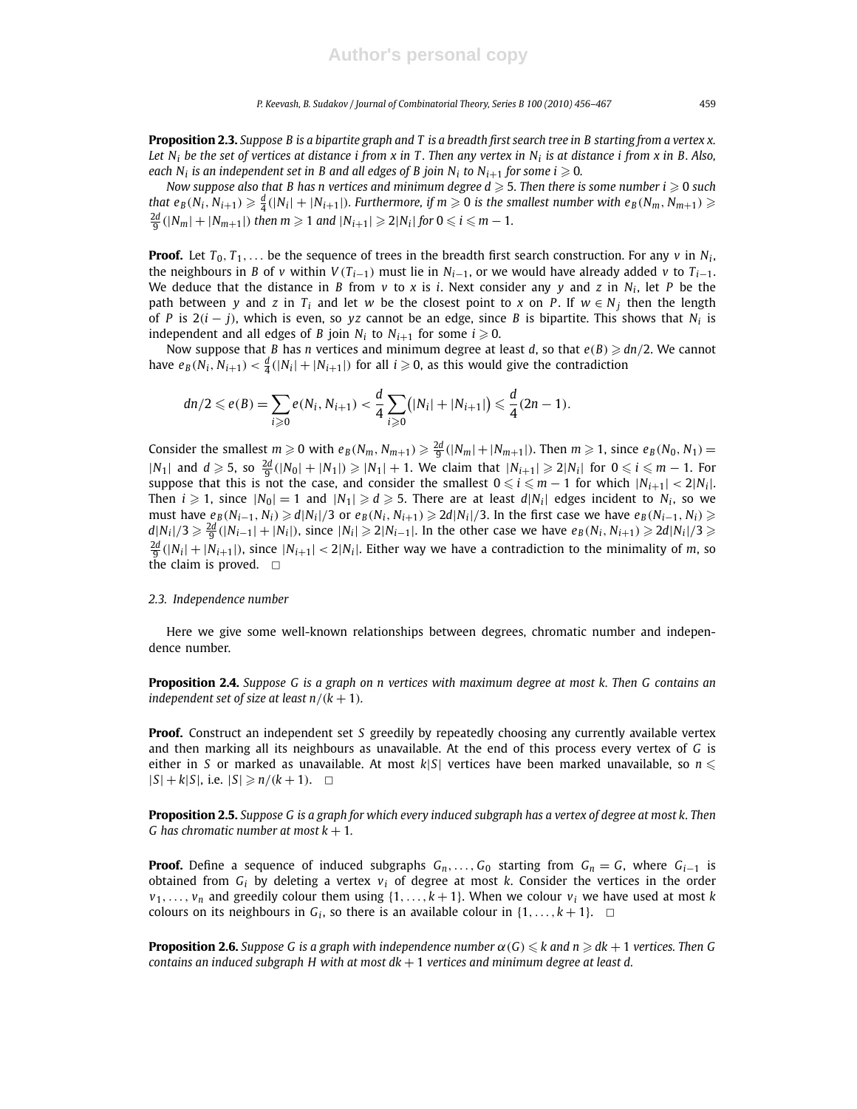**Proposition 2.3.** *Suppose B is a bipartite graph and T is a breadth first search tree in B starting from a vertex x. Let N<sup>i</sup> be the set of vertices at distance i from x in T . Then any vertex in N<sup>i</sup> is at distance i from x in B. Also, each N*<sub>i</sub> is an independent set in B and all edges of B join N<sub>i</sub> to N<sub>i+1</sub> for some i  $\geqslant$  0.

*Now suppose also that B has n vertices and minimum degree*  $d \geqslant 5$ *. Then there is some number*  $i \geqslant 0$  *such* that  $e_B(N_i,N_{i+1})\geqslant \frac{d}{4}(|N_i|+|N_{i+1}|).$  Furthermore, if  $m\geqslant 0$  is the smallest number with  $e_B(N_m,N_{m+1})\geqslant$  $\frac{2d}{9}(|N_m| + |N_{m+1}|)$  then  $m \geq 1$  and  $|N_{i+1}| \geq 2|N_i|$  for  $0 \leq i \leq m-1$ .

**Proof.** Let  $T_0, T_1, \ldots$  be the sequence of trees in the breadth first search construction. For any  $v$  in  $N_i$ , the neighbours in *B* of *v* within  $V(T_{i-1})$  must lie in  $N_{i-1}$ , or we would have already added *v* to  $T_{i-1}$ . We deduce that the distance in *B* from *v* to *x* is *i*. Next consider any *y* and *z* in *N<sup>i</sup>* , let *P* be the path between *y* and *z* in  $T_i$  and let *w* be the closest point to *x* on *P*. If  $w \in N_i$  then the length of *P* is 2(*i* − *j*), which is even, so *yz* cannot be an edge, since *B* is bipartite. This shows that *N<sup>i</sup>* is independent and all edges of *B* join  $N_i$  to  $N_{i+1}$  for some  $i \ge 0$ .

Now suppose that *B* has *n* vertices and minimum degree at least *d*, so that  $e(B) \geq dn/2$ . We cannot have  $e_B(N_i, N_{i+1}) < \frac{d}{4}(|N_i| + |N_{i+1}|)$  for all  $i \geqslant 0$ , as this would give the contradiction

$$
dn/2 \leqslant e(B) = \sum_{i \geqslant 0} e(N_i, N_{i+1}) < \frac{d}{4} \sum_{i \geqslant 0} (|N_i| + |N_{i+1}|) \leqslant \frac{d}{4} (2n - 1).
$$

Consider the smallest  $m \ge 0$  with  $e_B(N_m, N_{m+1}) \ge \frac{2d}{9}(|N_m|+|N_{m+1}|)$ . Then  $m \ge 1$ , since  $e_B(N_0, N_1)$  =  $|N_1|$  and  $d \ge 5$ , so  $\frac{2d}{9}(|N_0| + |N_1|) \ge |N_1| + 1$ . We claim that  $|N_{i+1}| \ge 2|N_i|$  for  $0 \le i \le m - 1$ . For suppose that this is not the case, and consider the smallest  $0 \leqslant i \leqslant m-1$  for which  $|N_{i+1}| < 2|N_i|$ . Then  $i \geqslant 1$ , since  $|N_0| = 1$  and  $|N_1| \geqslant d \geqslant 5$ . There are at least  $d|N_i|$  edges incident to  $N_i$ , so we must have  $e_B(N_{i-1}, N_i) \ge d|N_i|/3$  or  $e_B(N_i, N_{i+1}) \ge 2d|N_i|/3$ . In the first case we have  $e_B(N_{i-1}, N_i) \ge$  $d|N_i|/3 \geqslant \frac{2d}{9}(|N_{i-1}|+|N_i|)$ , since  $|N_i| \geqslant 2|N_{i-1}|$ . In the other case we have  $e_B(N_i,N_{i+1}) \geqslant 2d|N_i|/3 \geqslant 2d|N_i|/3$  $\frac{2d}{9}(|N_i|+|N_{i+1}|)$ , since  $|N_{i+1}| < 2|N_i|$ . Either way we have a contradiction to the minimality of *m*, so the claim is proved.  $\square$ 

#### *2.3. Independence number*

Here we give some well-known relationships between degrees, chromatic number and independence number.

**Proposition 2.4.** *Suppose G is a graph on n vertices with maximum degree at most k. Then G contains an independent set of size at least*  $n/(k + 1)$ *.* 

**Proof.** Construct an independent set *S* greedily by repeatedly choosing any currently available vertex and then marking all its neighbours as unavailable. At the end of this process every vertex of *G* is either in *S* or marked as unavailable. At most  $k|S|$  vertices have been marked unavailable, so  $n \leq$  $|S| + k|S|$ , i.e.  $|S| \ge n/(k+1)$ .  $\Box$ 

**Proposition 2.5.** *Suppose G is a graph for which every induced subgraph has a vertex of degree at most k. Then G* has chromatic number at most  $k + 1$ .

**Proof.** Define a sequence of induced subgraphs  $G_n$ ,...,  $G_0$  starting from  $G_n = G$ , where  $G_{i-1}$  is obtained from  $G_i$  by deleting a vertex  $v_i$  of degree at most  $k$ . Consider the vertices in the order  $v_1, \ldots, v_n$  and greedily colour them using  $\{1, \ldots, k+1\}$ . When we colour  $v_i$  we have used at most *k* colours on its neighbours in  $G_i$ , so there is an available colour in  $\{1,\ldots,k+1\}$ .  $\Box$ 

**Proposition 2.6.** *Suppose G is a graph with independence number*  $\alpha(G) \leq k$  *and n*  $\geq dk + 1$  *vertices. Then G contains an induced subgraph H with at most dk* + 1 *vertices and minimum degree at least d.*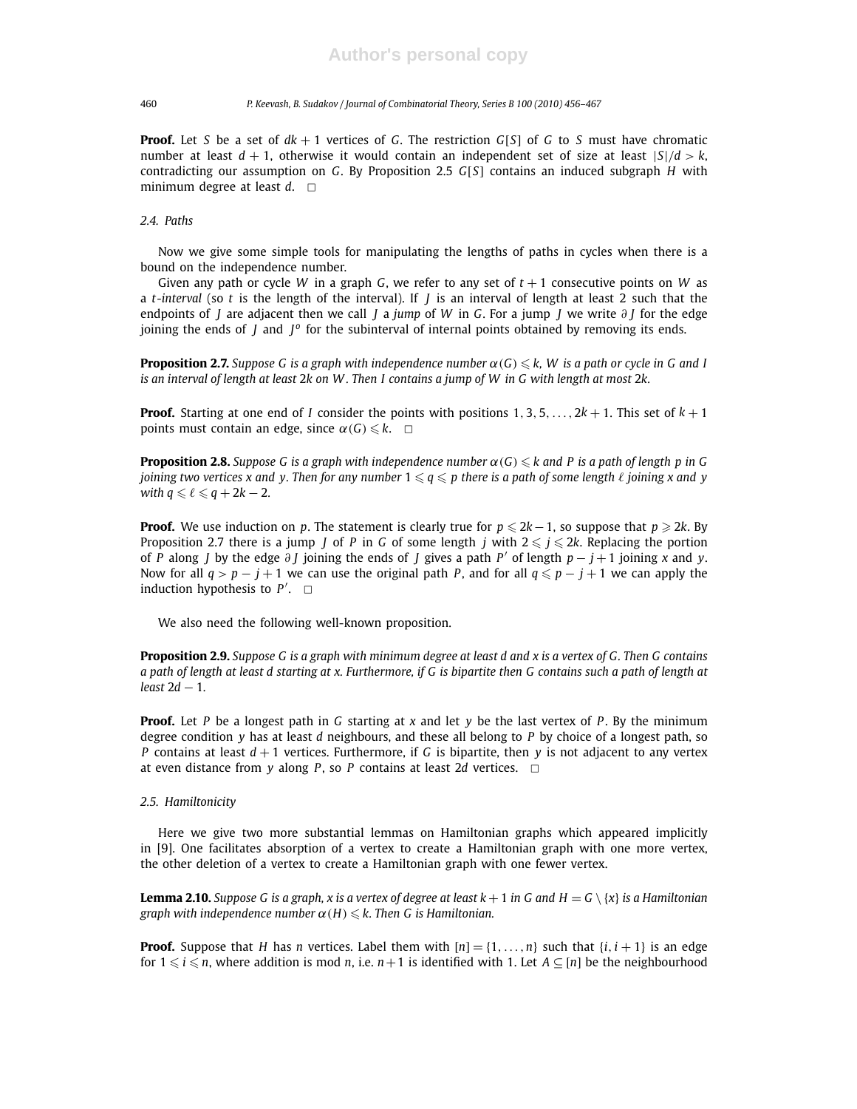**Proof.** Let *S* be a set of  $dk + 1$  vertices of *G*. The restriction  $G[S]$  of *G* to *S* must have chromatic number at least  $d + 1$ , otherwise it would contain an independent set of size at least  $|S|/d > k$ , contradicting our assumption on *G*. By Proposition 2.5 *G*[*S*] contains an induced subgraph *H* with minimum degree at least  $d. \Box$ 

### *2.4. Paths*

Now we give some simple tools for manipulating the lengths of paths in cycles when there is a bound on the independence number.

Given any path or cycle *W* in a graph *G*, we refer to any set of  $t + 1$  consecutive points on *W* as a *t-interval* (so *t* is the length of the interval). If *J* is an interval of length at least 2 such that the endpoints of *J* are adjacent then we call *J* a *jump* of *W* in *G*. For a jump *J* we write ∂ *J* for the edge joining the ends of *J* and *J*<sup>o</sup> for the subinterval of internal points obtained by removing its ends.

**Proposition 2.7.** *Suppose G is a graph with independence number*  $\alpha(G) \leq k$ , *W is a path or cycle in G and I is an interval of length at least* 2*k on W . Then I contains a jump of W in G with length at most* 2*k.*

**Proof.** Starting at one end of *I* consider the points with positions  $1, 3, 5, \ldots, 2k + 1$ . This set of  $k + 1$ points must contain an edge, since  $\alpha(G) \leq k$ .  $\Box$ 

**Proposition 2.8.** *Suppose G is a graph with independence number*  $\alpha(G) \leq k$  and P is a path of length p in G *joining two vertices x and y. Then for any number*  $1 \leq q \leq p$  there is a path of some length  $\ell$  *joining x and y with*  $q \leq \ell \leq q + 2k - 2$ *.* 

**Proof.** We use induction on *p*. The statement is clearly true for  $p \le 2k-1$ , so suppose that  $p \ge 2k$ . By Proposition 2.7 there is a jump *J* of *P* in *G* of some length *j* with  $2 \le j \le 2k$ . Replacing the portion of *P* along *J* by the edge ∂ *J* joining the ends of *J* gives a path *P* ′ of length *p* − *j* +1 joining *x* and *y*. Now for all  $q > p - j + 1$  we can use the original path *P*, and for all  $q \leq p - j + 1$  we can apply the induction hypothesis to  $P'$ .  $\Box$ 

We also need the following well-known proposition.

**Proposition 2.9.** *Suppose G is a graph with minimum degree at least d and x is a vertex of G. Then G contains a path of length at least d starting at x. Furthermore, if G is bipartite then G contains such a path of length at least* 2*d* − 1*.*

**Proof.** Let *P* be a longest path in *G* starting at *x* and let *y* be the last vertex of *P* . By the minimum degree condition *y* has at least *d* neighbours, and these all belong to *P* by choice of a longest path, so *P* contains at least *d* + 1 vertices. Furthermore, if *G* is bipartite, then *y* is not adjacent to any vertex at even distance from *y* along *P*, so *P* contains at least 2*d* vertices.  $\Box$ 

#### *2.5. Hamiltonicity*

Here we give two more substantial lemmas on Hamiltonian graphs which appeared implicitly in [9]. One facilitates absorption of a vertex to create a Hamiltonian graph with one more vertex, the other deletion of a vertex to create a Hamiltonian graph with one fewer vertex.

**Lemma 2.10.** *Suppose G is a graph, x is a vertex of degree at least*  $k + 1$  *in G and*  $H = G \setminus \{x\}$  *is a Hamiltonian graph with independence number*  $\alpha(H) \leq k$ . Then G is Hamiltonian.

**Proof.** Suppose that *H* has *n* vertices. Label them with  $[n] = \{1, \ldots, n\}$  such that  $\{i, i + 1\}$  is an edge for  $1 \leq i \leq n$ , where addition is mod *n*, i.e.  $n+1$  is identified with 1. Let  $A \subseteq [n]$  be the neighbourhood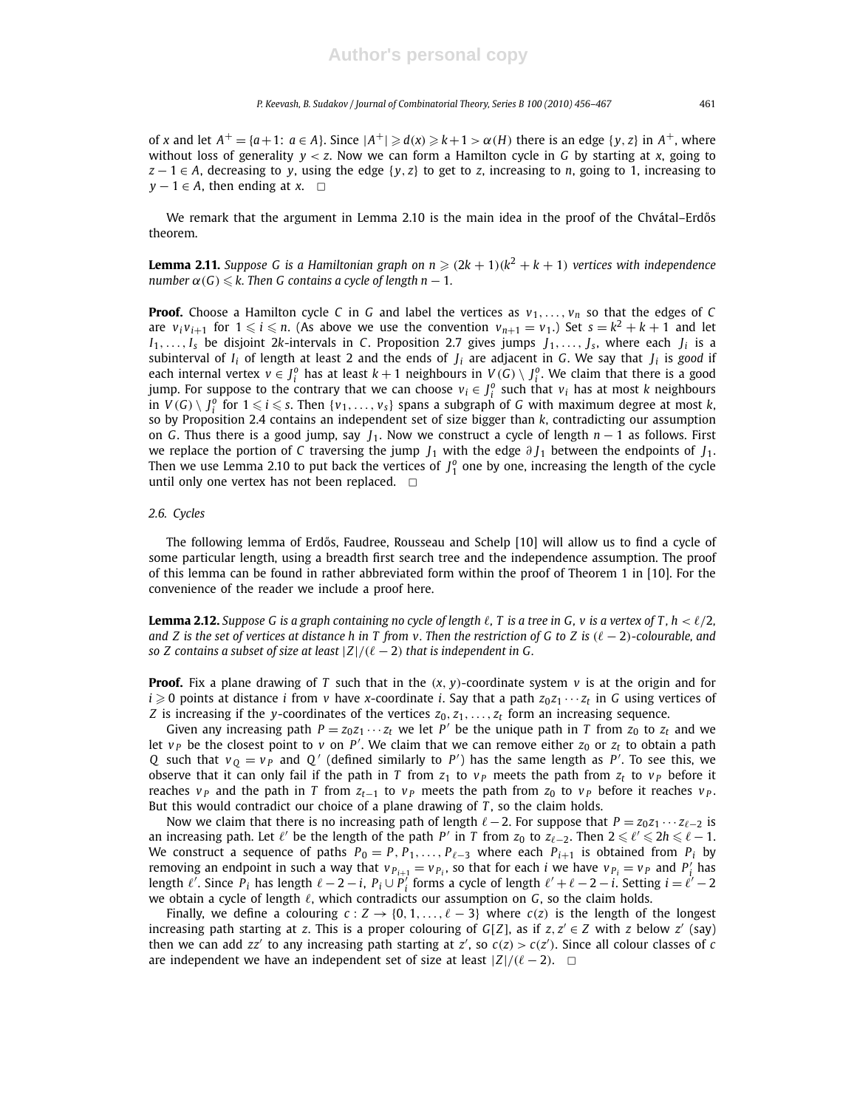of *x* and let  $A^+ = \{a+1: a \in A\}$ . Since  $|A^+| \geqslant d(x) \geqslant k+1 > \alpha(H)$  there is an edge  $\{y, z\}$  in  $A^+$ , where without loss of generality *y* < *z*. Now we can form a Hamilton cycle in *G* by starting at *x*, going to  $z - 1 \in A$ , decreasing to *y*, using the edge  $\{y, z\}$  to get to *z*, increasing to *n*, going to 1, increasing to  $y - 1 \in A$ , then ending at *x*.  $\Box$ 

We remark that the argument in Lemma 2.10 is the main idea in the proof of the Chvátal–Erdős theorem.

**Lemma 2.11.** *Suppose G is a Hamiltonian graph on n*  $\geq$   $(2k + 1)(k^2 + k + 1)$  *vertices with independence number*  $\alpha(G) \leq k$ . Then G contains a cycle of length n − 1.

**Proof.** Choose a Hamilton cycle *C* in *G* and label the vertices as  $v_1, \ldots, v_n$  so that the edges of *C* are  $v_i v_{i+1}$  for  $1 \leq i \leq n$ . (As above we use the convention  $v_{n+1} = v_1$ .) Set  $s = k^2 + k + 1$  and let  $I_1, \ldots, I_s$  be disjoint 2*k*-intervals in *C*. Proposition 2.7 gives jumps  $J_1, \ldots, J_s$ , where each  $J_i$  is a subinterval of *I<sup>i</sup>* of length at least 2 and the ends of *J<sup>i</sup>* are adjacent in *G*. We say that *J<sup>i</sup>* is *good* if each internal vertex  $v \in J_i^o$  has at least  $k+1$  neighbours in  $V(G) \setminus J_i^o$ . We claim that there is a good jump. For suppose to the contrary that we can choose  $v_i \in J_i^o$  such that  $v_i$  has at most *k* neighbours in  $V(G) \setminus \bigcup_{i=1}^{n}$  for  $1 \leq i \leq s$ . Then  $\{v_1,\ldots,v_s\}$  spans a subgraph of *G* with maximum degree at most *k*, so by Proposition 2.4 contains an independent set of size bigger than *k*, contradicting our assumption on *G*. Thus there is a good jump, say *J*1. Now we construct a cycle of length *n* − 1 as follows. First we replace the portion of *C* traversing the jump *J*<sup>1</sup> with the edge ∂ *J*<sup>1</sup> between the endpoints of *J*1. Then we use Lemma 2.10 to put back the vertices of  $J_1^o$  one by one, increasing the length of the cycle until only one vertex has not been replaced.  $\square$ 

#### *2.6. Cycles*

The following lemma of Erdős, Faudree, Rousseau and Schelp [10] will allow us to find a cycle of some particular length, using a breadth first search tree and the independence assumption. The proof of this lemma can be found in rather abbreviated form within the proof of Theorem 1 in [10]. For the convenience of the reader we include a proof here.

**Lemma 2.12.** Suppose G is a graph containing no cycle of length  $\ell$ , T is a tree in G, v is a vertex of T,  $h < \ell/2$ , *and Z is the set of vertices at distance h in T from v. Then the restriction of G to Z is*  $(\ell - 2)$ -colourable, and *so Z contains a subset of size at least*  $|Z|/(\ell-2)$  *that is independent in G.* 

**Proof.** Fix a plane drawing of *T* such that in the  $(x, y)$ -coordinate system  $v$  is at the origin and for  $i \geqslant 0$  points at distance *i* from *v* have *x*-coordinate *i*. Say that a path  $z_0z_1 \cdots z_t$  in *G* using vertices of *Z* is increasing if the *y*-coordinates of the vertices *z*0, *z*1,..., *z<sup>t</sup>* form an increasing sequence.

Given any increasing path  $P = z_0 z_1 \cdots z_t$  we let  $P'$  be the unique path in *T* from  $z_0$  to  $z_t$  and we let  $v_P$  be the closest point to  $v$  on  $P'$ . We claim that we can remove either  $z_0$  or  $z_t$  to obtain a path *Q* such that  $v_Q = v_P$  and *Q*<sup>'</sup> (defined similarly to *P*<sup>'</sup>) has the same length as *P*<sup>'</sup>. To see this, we observe that it can only fail if the path in *T* from  $z_1$  to  $v_P$  meets the path from  $z_t$  to  $v_P$  before it reaches *v<sub>P</sub>* and the path in *T* from  $z_{t-1}$  to  $v_p$  meets the path from  $z_0$  to  $v_p$  before it reaches  $v_p$ . But this would contradict our choice of a plane drawing of *T* , so the claim holds.

Now we claim that there is no increasing path of length  $\ell - 2$ . For suppose that  $P = z_0 z_1 \cdots z_{\ell-2}$  is an increasing path. Let  $\ell'$  be the length of the path  $P'$  in  $T$  from  $z_0$  to  $z_{\ell-2}$ . Then  $2 \leq \ell' \leq 2h \leq \ell-1$ . We construct a sequence of paths  $P_0 = P, P_1, \ldots, P_{\ell-3}$  where each  $P_{i+1}$  is obtained from  $P_i$  by removing an endpoint in such a way that  $v_{P_{i+1}} = v_{P_i}$ , so that for each *i* we have  $v_{P_i} = v_P$  and  $P'_i$  has length  $\ell'$ . Since  $P_i$  has length  $\ell-2-i$ ,  $P_i \cup P'_i$  forms a cycle of length  $\ell'+\ell-2-i$ . Setting  $i=\ell'-2$ we obtain a cycle of length  $\ell$ , which contradicts our assumption on *G*, so the claim holds.

Finally, we define a colouring  $c: Z \rightarrow \{0, 1, \ldots, \ell-3\}$  where  $c(z)$  is the length of the longest increasing path starting at *z*. This is a proper colouring of  $G[Z]$ , as if  $z, z' \in Z$  with *z* below  $z'$  (say) then we can add  $zz'$  to any increasing path starting at  $z'$ , so  $c(z) > c(z')$ . Since all colour classes of *c* are independent we have an independent set of size at least  $|Z|/(\ell-2)$ .  $\Box$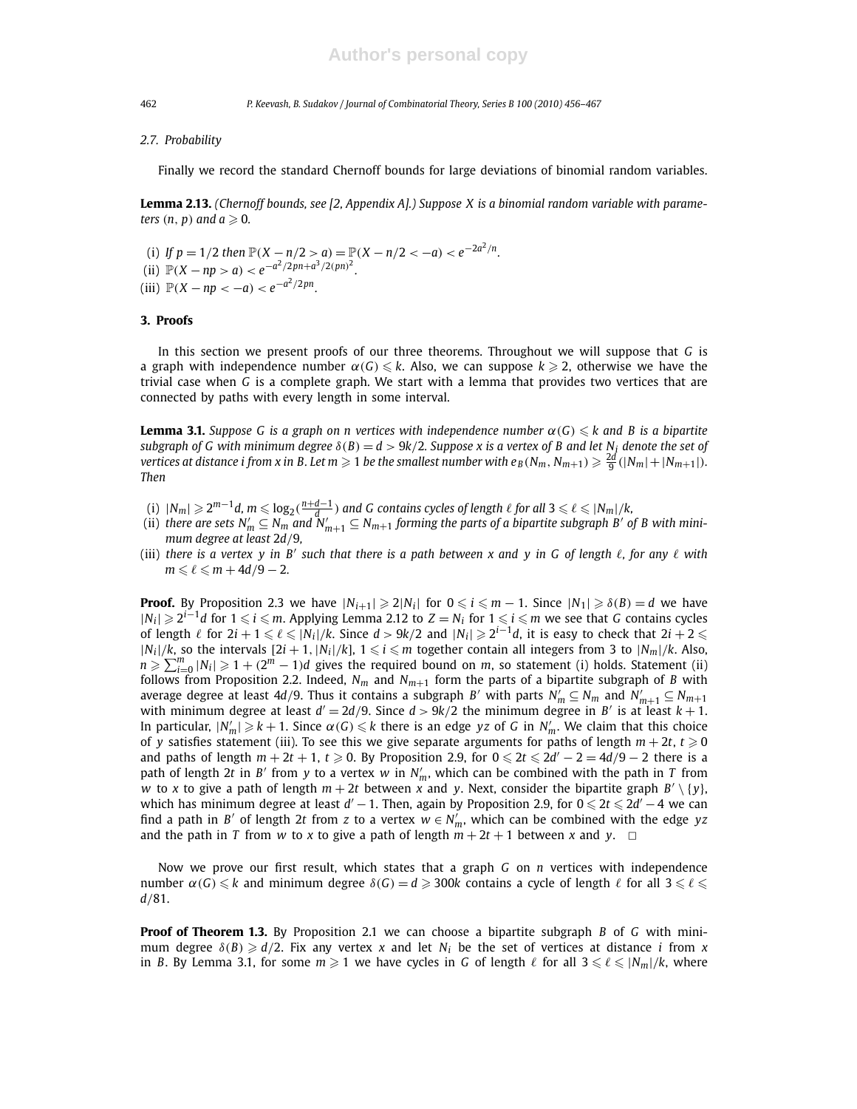#### *2.7. Probability*

Finally we record the standard Chernoff bounds for large deviations of binomial random variables.

**Lemma 2.13.** *(Chernoff bounds, see [2, Appendix A].) Suppose X is a binomial random variable with parameters*  $(n, p)$  *and*  $a \ge 0$ *.* 

(i) If  $p = 1/2$  then  $\mathbb{P}(X - n/2 > a) = \mathbb{P}(X - n/2 < -a) < e^{-2a^2/n}$ . (ii)  $\mathbb{P}(X - np > a) < e^{-a^2/2pn + a^3/2(pn)^2}$ . (iii)  $\mathbb{P}(X - np < -a) < e^{-a^2/2pn}$ .

### **3. Proofs**

In this section we present proofs of our three theorems. Throughout we will suppose that *G* is a graph with independence number  $\alpha(G) \leq k$ . Also, we can suppose  $k \geq 2$ , otherwise we have the trivial case when *G* is a complete graph. We start with a lemma that provides two vertices that are connected by paths with every length in some interval.

**Lemma 3.1.** *Suppose G is a graph on n vertices with independence number*  $\alpha(G) \leq k$  and B is a bipartite *subgraph of G with minimum degree*  $\delta(B) = d > 9k/2$ *. Suppose x is a vertex of B and let N<sub>i</sub> denote the set of vertices at distance i from x in B. Let*  $m \geqslant 1$  *<i>be the smallest number with e*<sub>B</sub>( $N_m, N_{m+1}) \geqslant \frac{2d}{9}$ ( $|N_m|+|N_{m+1}|$ ). *Then*

- $\mathcal{L}([n])~|N_m|\geqslant 2^{m-1}d, m\leqslant \log_2(\frac{n+d-1}{d})$  and  $G$  contains cycles of length  $\ell$  for all  $3\leqslant \ell\leqslant |N_m|/k,$
- (ii) *there are sets*  $N'_m\subseteq N_m$  *and*  $\mathsf{\dot{N}}'_{m+1}\subseteq N_{m+1}$  *forming the parts of a bipartite subgraph*  $B'$  *of*  $B$  *with minimum degree at least* 2*d*/9*,*
- (iii) *there is a vertex y in B*′ *such that there is a path between x and y in G of length* ℓ*, for any* ℓ *with*  $m \le \ell \le m + 4d/9 - 2$ .

**Proof.** By Proposition 2.3 we have  $|N_{i+1}| \geqslant 2|N_i|$  for  $0 \leqslant i \leqslant m-1$ . Since  $|N_1| \geqslant \delta(B) = d$  we have *|N*<sub>i</sub> | ≥ 2<sup>*i*−1</sup>*d* for 1 ≤ *i* ≤ *m*. Applying Lemma 2.12 to *Z* = *N*<sub>*i*</sub> for 1 ≤ *i* ≤ *m* we see that *G* contains cycles of length  $\ell$  for  $2i + 1 \leqslant \ell \leqslant |N_i|/k$ . Since  $d > 9k/2$  and  $|N_i| \geqslant 2^{i-1}d$ , it is easy to check that  $2i + 2 \leqslant$  $|N_i|/k$ , so the intervals  $[2i+1, |N_i|/k]$ ,  $1 \leq i \leq m$  together contain all integers from 3 to  $|N_m|/k$ . Also,  $n \geq \sum_{i=0}^{m} |N_i| \geq 1 + (2^m - 1)d$  gives the required bound on *m*, so statement (i) holds. Statement (ii) follows from Proposition 2.2. Indeed,  $N_m$  and  $N_{m+1}$  form the parts of a bipartite subgraph of *B* with average degree at least 4d/9. Thus it contains a subgraph *B'* with parts  $N'_m \subseteq N_m$  and  $N'_{m+1} \subseteq N_{m+1}$ with minimum degree at least  $d' = 2d/9$ . Since  $d > 9k/2$  the minimum degree in *B'* is at least  $k + 1$ . In particular,  $|N'_m| \geqslant k + 1$ . Since  $\alpha(G) \leqslant k$  there is an edge yz of *G* in  $N'_m$ . We claim that this choice of *y* satisfies statement (iii). To see this we give separate arguments for paths of length  $m + 2t$ ,  $t \ge 0$ and paths of length  $m + 2t + 1$ ,  $t \ge 0$ . By Proposition 2.9, for  $0 \le 2t \le 2d' - 2 = 4d/9 - 2$  there is a path of length 2t in *B'* from *y* to a vertex *w* in  $N'_m$ , which can be combined with the path in *T* from *w* to *x* to give a path of length  $m + 2t$  between *x* and *y*. Next, consider the bipartite graph  $B' \setminus \{y\}$ , which has minimum degree at least  $d' - 1$ . Then, again by Proposition 2.9, for  $0 \leq 2t \leq 2d' - 4$  we can find a path in *B'* of length 2*t* from *z* to a vertex  $w \in N'_m$ , which can be combined with the edge *yz* and the path in *T* from *w* to *x* to give a path of length  $m + 2t + 1$  between *x* and *y*.  $\Box$ 

Now we prove our first result, which states that a graph *G* on *n* vertices with independence number  $\alpha(G) \leq k$  and minimum degree  $\delta(G) = d \geq 300k$  contains a cycle of length  $\ell$  for all  $3 \leq \ell \leq 1$ *d*/81.

**Proof of Theorem 1.3.** By Proposition 2.1 we can choose a bipartite subgraph *B* of *G* with minimum degree  $\delta(B) \ge d/2$ . Fix any vertex *x* and let  $N_i$  be the set of vertices at distance *i* from *x* in *B*. By Lemma 3.1, for some  $m \ge 1$  we have cycles in *G* of length  $\ell$  for all  $3 \le \ell \le |N_m|/k$ , where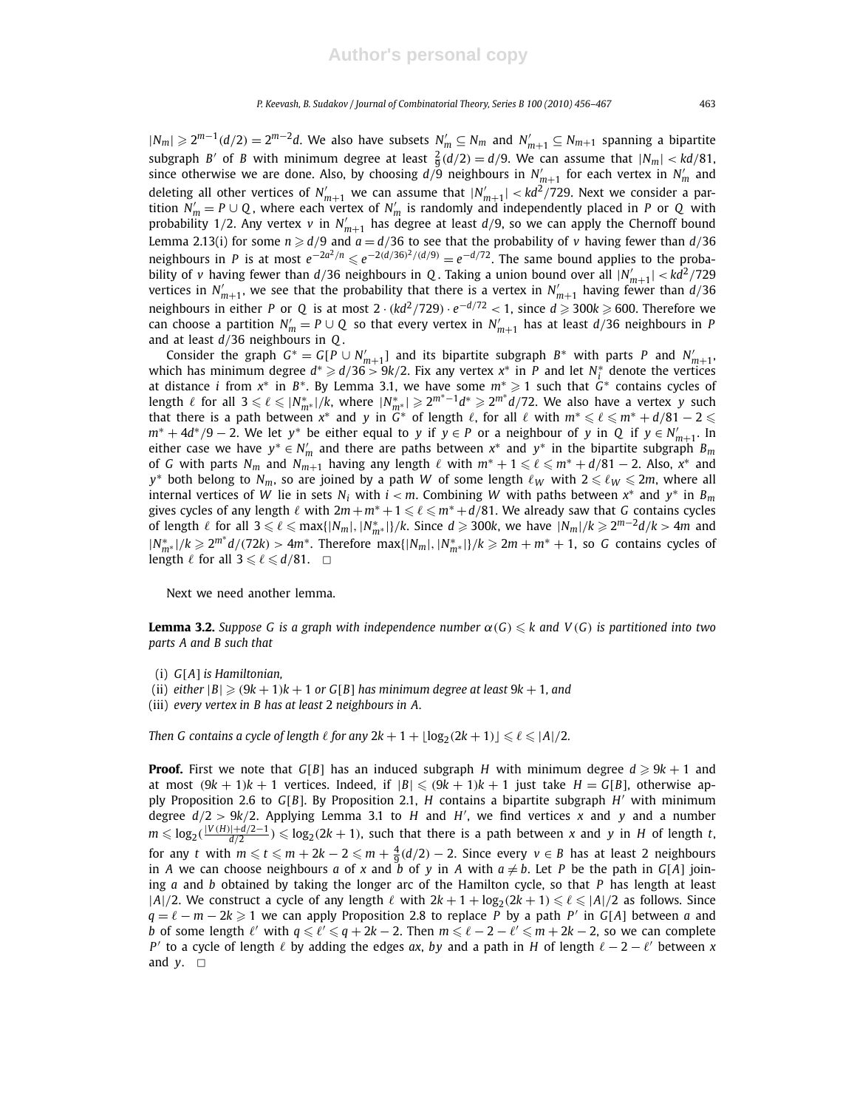$|N_m|$  ≥ 2<sup>*m*−1</sup>(*d*/2) = 2<sup>*m*−2</sup>*d*. We also have subsets  $N'_m$  ⊆  $N_m$  and  $N'_{m+1}$  ⊆  $N_{m+1}$  spanning a bipartite subgraph *B'* of *B* with minimum degree at least  $\frac{2}{9}(d/2) = d/9$ . We can assume that  $|N_m| < kd/81$ , since otherwise we are done. Also, by choosing  $d/9$  neighbours in  $N'_{m+1}$  for each vertex in  $N'_m$  and deleting all other vertices of  $N'_{m+1}$  we can assume that  $|N'_{m+1}| < kd^2/729$ . Next we consider a partition  $N'_m = P \cup Q$ , where each vertex of  $N'_m$  is randomly and independently placed in *P* or *Q* with probability 1/2. Any vertex *v* in  $N'_{m+1}$  has degree at least  $d/9$ , so we can apply the Chernoff bound Lemma 2.13(i) for some  $n \ge d/9$  and  $a = d/36$  to see that the probability of *v* having fewer than  $d/36$ neighbours in *P* is at most  $e^{-2a^2/n} \le e^{-2(d/36)^2/(d/9)} = e^{-d/72}$ . The same bound applies to the probability of *v* having fewer than  $d/36$  neighbours in *Q*. Taking a union bound over all  $|N'_{m+1}| < kd^2/729$ vertices in  $N'_{m+1}$ , we see that the probability that there is a vertex in  $N'_{m+1}$  having fewer than  $d/36$ neighbours in either *P* or *Q* is at most 2 · ( $kd^2/729$ ) ·  $e^{-d/72} < 1$ , since  $d \ge 300k \ge 600$ . Therefore we can choose a partition  $N'_m = P \cup Q$  so that every vertex in  $N'_{m+1}$  has at least  $d/36$  neighbours in P and at least *d*/36 neighbours in *Q* .

Consider the graph  $G^* = G[P \cup N'_{m+1}]$  and its bipartite subgraph  $B^*$  with parts P and  $N'_{m+1}$ , which has minimum degree  $d^* \ge d/36 > 9k/2$ . Fix any vertex  $x^*$  in *P* and let  $N_i^*$  denote the vertices at distance *i* from *x* ∗ in *B* ∗ . By Lemma 3.1, we have some *m*<sup>∗</sup> 1 such that *G* ∗ contains cycles of length  $\ell$  for all  $3 \leqslant \ell \leqslant |N^*_{m^*}|/k$ , where  $|N^*_{m^*}| \geqslant 2^{m^*-1}d^* \geqslant 2^{m^*}d/72$ . We also have a vertex *y* such that there is a path between  $x^*$  and  $y$  in  $G^*$  of length  $\ell$ , for all  $\ell$  with  $m^* \leqslant \ell \leqslant m^* + d/81 - 2 \leqslant$  $m^* + 4d^*/9 - 2$ . We let *y*<sup>\*</sup> be either equal to *y* if  $y \in P$  or a neighbour of *y* in *Q* if  $y \in N'_{m+1}$ . In either case we have  $y^* \in N'_m$  and there are paths between  $x^*$  and  $y^*$  in the bipartite subgraph  $B_m$ of *G* with parts  $N_m$  and  $N_{m+1}$  having any length  $\ell$  with  $m^* + 1 \leqslant \ell \leqslant m^* + d/81 - 2$ . Also,  $x^*$  and  $y^*$  both belong to  $N_m$ , so are joined by a path *W* of some length  $\ell_W$  with  $2 \leq \ell_W \leq 2m$ , where all internal vertices of *W* lie in sets  $N_i$  with  $i < m$ . Combining *W* with paths between  $x^*$  and  $y^*$  in  $B_m$ gives cycles of any length  $\ell$  with  $2m + m^* + 1 \leq \ell \leq m^* + d/81$ . We already saw that *G* contains cycles of length  $\ell$  for all  $3 \leqslant \ell \leqslant \max\{|N_m|,|N^*_{m^*}|\}/k$ . Since  $d \geqslant 300k$ , we have  $|N_m|/k \geqslant 2^{m-2}d/k > 4m$  and  $|N^*_{m^*}|/k$  ≥  $2^{m^*}d/(72k)$  >  $4m^*$ . Therefore max{ $|N_m|, |N^*_{m^*}|$ }/ $k$  ≥  $2m + m^* + 1$ , so *G* contains cycles of length  $\ell$  for all  $3 \leq \ell \leq d/81$ .  $\Box$ 

Next we need another lemma.

**Lemma 3.2.** *Suppose G is a graph with independence number*  $\alpha(G) \leq k$  and  $V(G)$  *is partitioned into two parts A and B such that*

- (i) *G*[*A*] *is Hamiltonian,*
- (ii) *either*  $|B| \ge (9k + 1)k + 1$  *or*  $G[B]$  *has minimum degree at least*  $9k + 1$ *, and*
- (iii) *every vertex in B has at least* 2 *neighbours in A.*

*Then G contains a cycle of length*  $\ell$  *for any*  $2k + 1 + \lfloor \log_2(2k + 1) \rfloor \leqslant \ell \leqslant |A|/2$ *.* 

**Proof.** First we note that  $G[B]$  has an induced subgraph *H* with minimum degree  $d \ge 9k + 1$  and at most  $(9k + 1)k + 1$  vertices. Indeed, if  $|B| \le (9k + 1)k + 1$  just take  $H = G[B]$ , otherwise apply Proposition 2.6 to *G*[*B*]. By Proposition 2.1, *H* contains a bipartite subgraph *H* ′ with minimum degree  $d/2 > 9k/2$ . Applying Lemma 3.1 to *H* and *H'*, we find vertices *x* and *y* and a number  $m \leqslant log_2(\frac{|V(H)|+d/2-1}{d/2})$  ≤  $log_2(2k+1)$ , such that there is a path between *x* and *y* in *H* of length *t*, for any *t* with  $m \leqslant t \leqslant m + 2k - 2 \leqslant m + \frac{4}{9}(d/2) - 2$ . Since every  $v \in B$  has at least 2 neighbours in *A* we can choose neighbours *a* of *x* and *b* of *y* in *A* with  $a \neq b$ . Let *P* be the path in *G*[*A*] joining *a* and *b* obtained by taking the longer arc of the Hamilton cycle, so that *P* has length at least  $|A|/2$ . We construct a cycle of any length  $\ell$  with  $2k + 1 + \log_2(2k + 1) \leq \ell \leq |A|/2$  as follows. Since *q* =  $\ell$  − *m* − 2*k*  $\ge$  1 we can apply Proposition 2.8 to replace *P* by a path *P'* in *G*[*A*] between *a* and *b* of some length  $\ell'$  with  $q \leq \ell' \leq q + 2k - 2$ . Then  $m \leq \ell - 2 - \ell' \leq m + 2k - 2$ , so we can complete *P*<sup> $\prime$ </sup> to a cycle of length  $\ell$  by adding the edges *ax*, *by* and a path in *H* of length  $\ell - 2 - \ell'$  between *x* and  $y$ .  $\Box$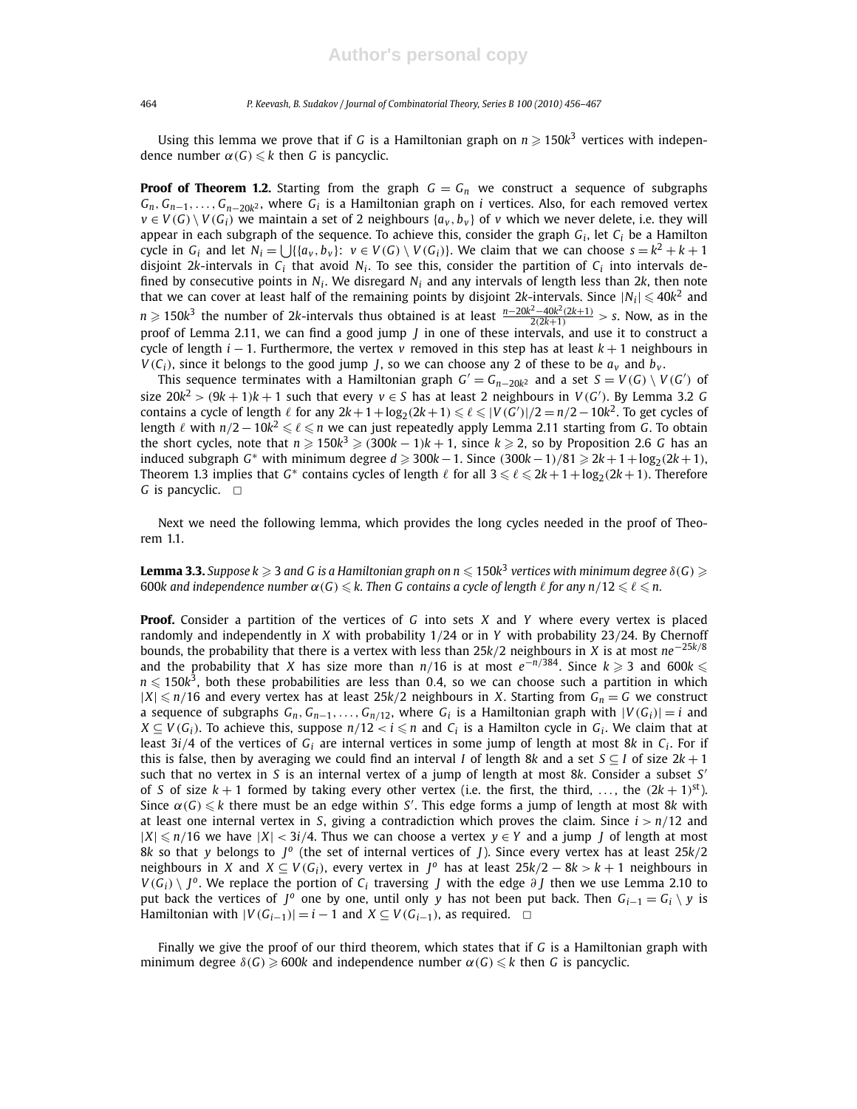Using this lemma we prove that if *G* is a Hamiltonian graph on  $n \geqslant 150k^3$  vertices with independence number  $\alpha(G) \leq k$  then *G* is pancyclic.

**Proof of Theorem 1.2.** Starting from the graph  $G = G_n$  we construct a sequence of subgraphs *Gn*, *Gn*−1,..., *Gn*−20*<sup>k</sup>* <sup>2</sup> , where *G<sup>i</sup>* is a Hamiltonian graph on *i* vertices. Also, for each removed vertex  $v \in V(G) \setminus V(G_i)$  we maintain a set of 2 neighbours  $\{a_v, b_v\}$  of *v* which we never delete, i.e. they will appear in each subgraph of the sequence. To achieve this, consider the graph *G<sup>i</sup>* , let *C<sup>i</sup>* be a Hamilton cycle in  $G_i$  and let  $N_i = \bigcup \{ \{a_v, b_v\} : v \in V(G) \setminus V(G_i) \}$ . We claim that we can choose  $s = k^2 + k + 1$ disjoint 2*k*-intervals in  $C_i$  that avoid  $N_i$ . To see this, consider the partition of  $C_i$  into intervals defined by consecutive points in  $N_i$ . We disregard  $N_i$  and any intervals of length less than 2k, then note that we can cover at least half of the remaining points by disjoint 2k-intervals. Since  $|N_i| \leqslant 40k^2$  and *n*  $\geq$  150*k*<sup>3</sup> the number of 2*k*-intervals thus obtained is at least  $\frac{n-20k^2-40k^2(2k+1)}{2(2k+1)}$  > s. Now, as in the proof of Lemma 2.11, we can find a good jump *J* in one of these intervals, and use it to construct a cycle of length *i* − 1. Furthermore, the vertex *v* removed in this step has at least *k* + 1 neighbours in  $V(C_i)$ , since it belongs to the good jump *J*, so we can choose any 2 of these to be  $a_v$  and  $b_v$ .

This sequence terminates with a Hamiltonian graph  $G' = G_{n-20k^2}$  and a set  $S = V(G) \setminus V(G')$  of size  $20k^2 > (9k+1)k+1$  such that every  $v \in S$  has at least 2 neighbours in  $V(G')$ . By Lemma 3.2 *G* contains a cycle of length  $\ell$  for any  $2k+1+\log_2(2k+1) \leqslant \ell \leqslant |V(G')|/2=n/2-10k^2$ . To get cycles of length ℓ with *n*/2 – 10 $k^2 \leqslant \ell \leqslant n$  we can just repeatedly apply Lemma 2.11 starting from *G*. To obtain the short cycles, note that  $n \geqslant 150k^3 \geqslant (300k-1)k+1$ , since  $k \geqslant 2$ , so by Proposition 2.6 *G* has an induced subgraph  $G^*$  with minimum degree  $d \ge 300k - 1$ . Since  $(300k - 1)/81 \ge 2k + 1 + \log_2(2k + 1)$ , Theorem 1.3 implies that  $G^*$  contains cycles of length  $\ell$  for all  $3 \leqslant \ell \leqslant 2k+1+\log_2(2k+1).$  Therefore *G* is pancyclic. □

Next we need the following lemma, which provides the long cycles needed in the proof of Theorem 1.1.

 $\bf{l}$ e $\bf{mma}$  3.3. Suppose k  $\geqslant$  3 and G is a Hamiltonian graph on n  $\leqslant$  150k $^3$  vertices with minimum degree  $\delta(G)$   $\geqslant$ 600*k* and independence number  $\alpha(G) \leq k$ . Then G contains a cycle of length  $\ell$  for any  $n/12 \leq \ell \leq n$ .

**Proof.** Consider a partition of the vertices of *G* into sets *X* and *Y* where every vertex is placed randomly and independently in *X* with probability 1/24 or in *Y* with probability 23/24. By Chernoff bounds, the probability that there is a vertex with less than 25*k*/2 neighbours in *X* is at most *ne*−25*k*/<sup>8</sup> and the probability that *X* has size more than  $n/16$  is at most  $e^{-n/384}$ . Since  $k \geq 3$  and 600 $k \leq$  $n \leqslant 150k^3$ , both these probabilities are less than 0.4, so we can choose such a partition in which  $|X| \le n/16$  and every vertex has at least 25k/2 neighbours in *X*. Starting from  $G_n = G$  we construct a sequence of subgraphs  $G_n, G_{n-1}, \ldots, G_{n/12}$ , where  $G_i$  is a Hamiltonian graph with  $|V(G_i)| = i$  and  $X \subseteq V(G_i)$ . To achieve this, suppose  $n/12 < i \leqslant n$  and  $C_i$  is a Hamilton cycle in  $G_i$ . We claim that at least 3*i*/4 of the vertices of *G<sup>i</sup>* are internal vertices in some jump of length at most 8*k* in *C<sup>i</sup>* . For if this is false, then by averaging we could find an interval *I* of length 8*k* and a set  $S \subseteq I$  of size  $2k + 1$ such that no vertex in *S* is an internal vertex of a jump of length at most 8*k*. Consider a subset *S* ′ of *S* of size  $k + 1$  formed by taking every other vertex (i.e. the first, the third, ..., the  $(2k + 1)$ <sup>st</sup>). Since  $\alpha(G) \leq k$  there must be an edge within *S'*. This edge forms a jump of length at most 8k with at least one internal vertex in *S*, giving a contradiction which proves the claim. Since *i* > *n*/12 and  $|X| ≤ n/16$  we have  $|X| < 3i/4$ . Thus we can choose a vertex  $y ∈ Y$  and a jump *J* of length at most 8*k* so that *y* belongs to *J o* (the set of internal vertices of *J*). Since every vertex has at least 25*k*/2 neighbours in *X* and *X*  $\subseteq$  *V*(*G*<sub>*i*</sub>), every vertex in *J*<sup>o</sup> has at least 25*k*/2 – 8*k* > *k* + 1 neighbours in  $V(G_i) \setminus J^o$ . We replace the portion of  $C_i$  traversing *J* with the edge  $\partial J$  then we use Lemma 2.10 to put back the vertices of *J*<sup>o</sup> one by one, until only *y* has not been put back. Then  $G_{i-1} = G_i \setminus y$  is Hamiltonian with  $|V(G_{i-1})| = i - 1$  and  $X \subseteq V(G_{i-1})$ , as required. □

Finally we give the proof of our third theorem, which states that if *G* is a Hamiltonian graph with minimum degree  $\delta(G) \ge 600k$  and independence number  $\alpha(G) \le k$  then *G* is pancyclic.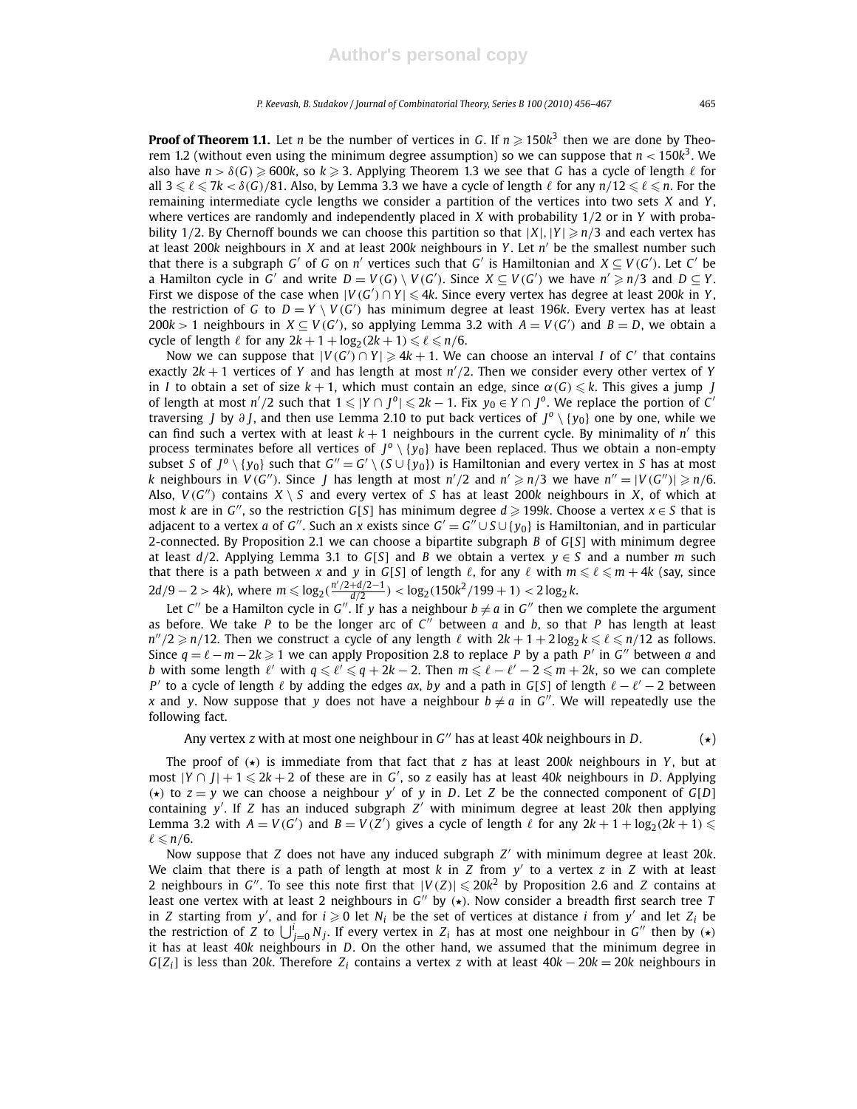**Proof of Theorem 1.1.** Let *n* be the number of vertices in *G*. If  $n \ge 150k^3$  then we are done by Theorem 1.2 (without even using the minimum degree assumption) so we can suppose that *n* < 150*k* 3 . We also have  $n > \delta(G) \ge 600k$ , so  $k \ge 3$ . Applying Theorem 1.3 we see that G has a cycle of length  $\ell$  for all  $3 \leq \ell \leq 7k < \delta(G)/81$ . Also, by Lemma 3.3 we have a cycle of length  $\ell$  for any  $n/12 \leq \ell \leq n$ . For the remaining intermediate cycle lengths we consider a partition of the vertices into two sets *X* and *Y* , where vertices are randomly and independently placed in *X* with probability 1/2 or in *Y* with probability 1/2. By Chernoff bounds we can choose this partition so that  $|X|, |Y| \ge n/3$  and each vertex has at least 200*k* neighbours in *X* and at least 200*k* neighbours in *Y* . Let *n* ′ be the smallest number such that there is a subgraph *G'* of *G* on *n'* vertices such that *G'* is Hamiltonian and  $X \subseteq V(G')$ . Let *C'* be a Hamilton cycle in *G'* and write  $D = V(G) \setminus V(G')$ . Since  $X \subseteq V(G')$  we have  $n' \geq n/3$  and  $D \subseteq Y$ . First we dispose of the case when  $|V(G') \cap Y| \leq 4k$ . Since every vertex has degree at least 200k in Y, the restriction of *G* to  $D = Y \setminus V(G')$  has minimum degree at least 196*k*. Every vertex has at least 200 $k > 1$  neighbours in *X* ⊆ *V*(*G'*), so applying Lemma 3.2 with *A* = *V*(*G'*) and *B* = *D*, we obtain a cycle of length  $\ell$  for any  $2k + 1 + \log_2(2k + 1) \leq \ell \leq n/6$ .

Now we can suppose that  $|V(G') \cap Y| \geqslant 4k + 1$ . We can choose an interval *I* of *C'* that contains exactly  $2k + 1$  vertices of *Y* and has length at most  $n'/2$ . Then we consider every other vertex of *Y* in *I* to obtain a set of size  $k+1$ , which must contain an edge, since  $\alpha(G) \leq k$ . This gives a jump *J* of length at most  $n'/2$  such that  $1 \leqslant |Y \cap J^0| \leqslant 2k - 1$ . Fix  $y_0 \in Y \cap J^0$ . We replace the portion of *C*' traversing *J* by ∂ *J*, and then use Lemma 2.10 to put back vertices of *J o* \ {*y*0} one by one, while we can find such a vertex with at least  $k + 1$  neighbours in the current cycle. By minimality of  $n'$  this process terminates before all vertices of  $J^o \setminus \{y_0\}$  have been replaced. Thus we obtain a non-empty subset *S* of  $J^0 \setminus \{y_0\}$  such that  $G'' = G' \setminus (S \cup \{y_0\})$  is Hamiltonian and every vertex in *S* has at most *k* neighbours in  $V(G'')$ . Since *J* has length at most  $n'/2$  and  $n' \geq n/3$  we have  $n'' = |V(G'')| \geq n/6$ . Also,  $V(G'')$  contains  $X \setminus S$  and every vertex of *S* has at least 200k neighbours in *X*, of which at most *k* are in *G*<sup>*''*</sup>, so the restriction *G*[*S*] has minimum degree  $d \ge 199k$ . Choose a vertex  $x \in S$  that is adjacent to a vertex  $a$  of  $G''$ . Such an  $x$  exists since  $G' = G'' \cup S \cup \{y_0\}$  is Hamiltonian, and in particular 2-connected. By Proposition 2.1 we can choose a bipartite subgraph *B* of *G*[*S*] with minimum degree at least  $d/2$ . Applying Lemma 3.1 to  $G[S]$  and *B* we obtain a vertex  $y \in S$  and a number *m* such that there is a path between *x* and *y* in *G*[*S*] of length  $\ell$ , for any  $\ell$  with  $m \leq \ell \leq m + 4k$  (say, since  $2d/9 - 2 > 4k$ ), where  $m \leq \log_2(\frac{n'/2 + d/2 - 1}{d/2}) < \log_2(150k^2/199 + 1) < 2\log_2 k$ .

Let  $C''$  be a Hamilton cycle in  $G''$ . If y has a neighbour  $b \neq a$  in  $G''$  then we complete the argument as before. We take *P* to be the longer arc of  $C''$  between *a* and *b*, so that *P* has length at least  $n''/2 \geqslant n/12$ . Then we construct a cycle of any length  $\ell$  with  $2k + 1 + 2\log_2 k \leqslant \ell \leqslant n/12$  as follows. Since  $q = \ell - m - 2k \geqslant 1$  we can apply Proposition 2.8 to replace P by a path P' in G'' between *a* and *b* with some length  $\ell'$  with  $q \leq \ell' \leq q + 2k - 2$ . Then  $m \leq \ell - \ell' - 2 \leq m + 2k$ , so we can complete *P*<sup> $\prime$ </sup> to a cycle of length  $\ell$  by adding the edges *ax*, *by* and a path in *G*[*S*] of length  $\ell - \ell' - 2$  between *x* and *y*. Now suppose that *y* does not have a neighbour  $b \neq a$  in *G*<sup>*'*</sup>. We will repeatedly use the following fact.

Any vertex *z* with at most one neighbour in  $G''$  has at least 40*k* neighbours in *D*.  $\left(\star\right)$ 

The proof of  $\star$ ) is immediate from that fact that *z* has at least 200*k* neighbours in *Y*, but at most  $|Y \cap J| + 1 \leq 2k + 2$  of these are in *G'*, so *z* easily has at least 40*k* neighbours in *D*. Applying ( $\star$ ) to  $z = y$  we can choose a neighbour *y'* of *y* in *D*. Let *Z* be the connected component of *G*[*D*] containing *y* ′ . If *Z* has an induced subgraph *Z* ′ with minimum degree at least 20*k* then applying Lemma 3.2 with  $A = V(G')$  and  $B = V(Z')$  gives a cycle of length  $\ell$  for any  $2k + 1 + \log_2(2k + 1) \leq$  $\ell \leqslant n/6$ .

Now suppose that *Z* does not have any induced subgraph *Z* ′ with minimum degree at least 20*k*. We claim that there is a path of length at most *k* in *Z* from *y* ′ to a vertex *z* in *Z* with at least 2 neighbours in *G*<sup>"</sup>. To see this note first that  $|V(Z)| \leq 20k^2$  by Proposition 2.6 and *Z* contains at least one vertex with at least 2 neighbours in *G*<sup>"</sup> by ( $\star$ ). Now consider a breadth first search tree *T* in *Z* starting from *y'*, and for  $i \ge 0$  let  $N_i$  be the set of vertices at distance *i* from *y'* and let  $Z_i$  be the restriction of *Z* to  $\bigcup_{j=0}^{i} N_j$ . If every vertex in *Z*<sub>*i*</sub> has at most one neighbour in *G*<sup>*'*</sup> then by  $\left(\star\right)$ it has at least 40*k* neighbours in *D*. On the other hand, we assumed that the minimum degree in *G*[ $Z_i$ ] is less than 20*k*. Therefore  $Z_i$  contains a vertex *z* with at least  $40k - 20k = 20k$  neighbours in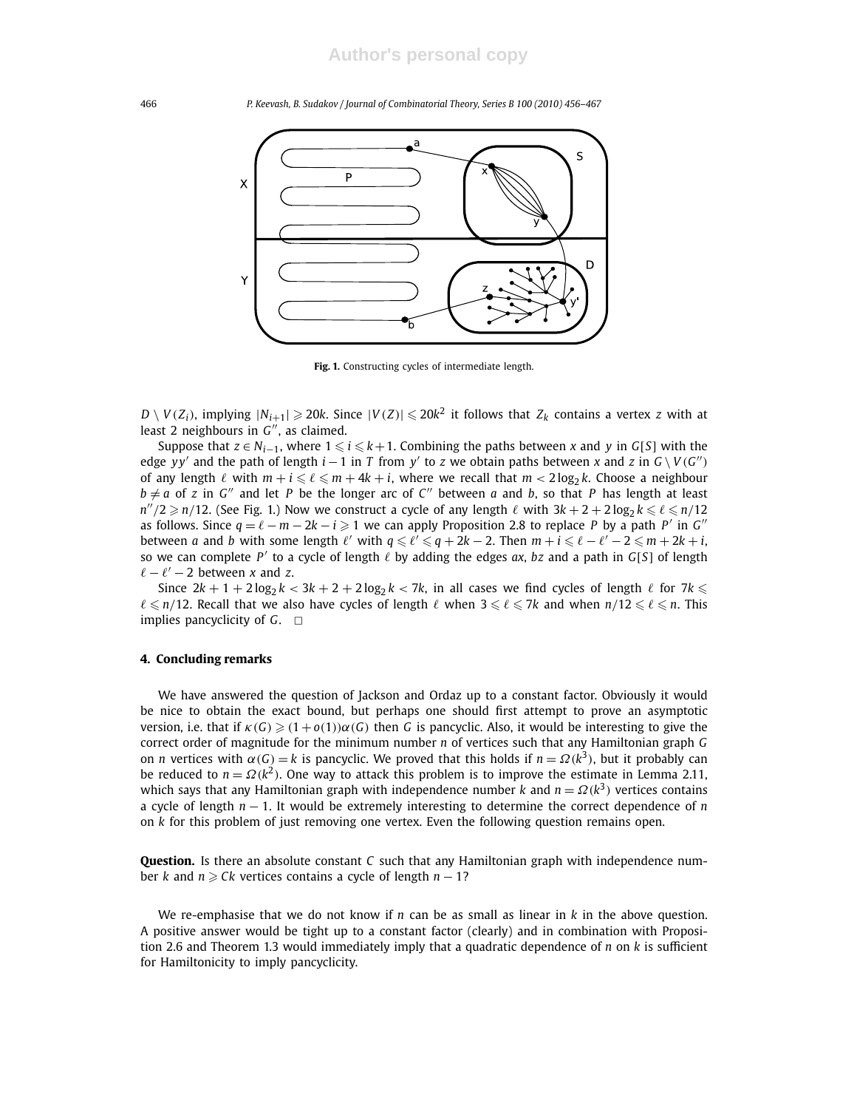

**Fig. 1.** Constructing cycles of intermediate length.

 $D\setminus V(Z_i)$ , implying  $|N_{i+1}|\geqslant 20k$ . Since  $|V(Z)|\leqslant 20k^2$  it follows that  $Z_k$  contains a vertex  $z$  with at least 2 neighbours in G", as claimed.

Suppose that  $z \in N_{i-1}$ , where  $1 \leq i \leq k+1$ . Combining the paths between *x* and *y* in *G*[*S*] with the edge *yy'* and the path of length  $i - 1$  in *T* from *y'* to *z* we obtain paths between *x* and *z* in  $G \setminus V(G'')$ of any length  $\ell$  with  $m + i \leq \ell \leq m + 4k + i$ , where we recall that  $m < 2 \log_2 k$ . Choose a neighbour  $b \neq a$  of *z* in *G*<sup>"</sup> and let *P* be the longer arc of *C*<sup>"</sup> between *a* and *b*, so that *P* has length at least  $n''/2 \geqslant n/12$ . (See Fig. 1.) Now we construct a cycle of any length  $\ell$  with  $3k + 2 + 2\log_2 k \leqslant \ell \leqslant n/12$ as follows. Since  $q = \ell - m - 2k - i \geq 1$  we can apply Proposition 2.8 to replace *P* by a path *P'* in *G''* between *a* and *b* with some length  $\ell'$  with  $q \leq \ell' \leq q + 2k - 2$ . Then  $m + i \leq \ell - \ell' - 2 \leq m + 2k + i$ , so we can complete *P'* to a cycle of length  $\ell$  by adding the edges *ax*, *bz* and a path in *G*[*S*] of length  $\ell - \ell' - 2$  between *x* and *z*.

Since  $2k + 1 + 2\log_2 k < 3k + 2 + 2\log_2 k < 7k$ , in all cases we find cycles of length  $\ell$  for  $7k \le$  $\ell \leq n/12$ . Recall that we also have cycles of length  $\ell$  when  $3 \leq \ell \leq 7k$  and when  $n/12 \leq \ell \leq n$ . This implies pancyclicity of  $G$ .  $\Box$ 

#### **4. Concluding remarks**

We have answered the question of Jackson and Ordaz up to a constant factor. Obviously it would be nice to obtain the exact bound, but perhaps one should first attempt to prove an asymptotic version, i.e. that if  $\kappa(G) \geq (1 + o(1))\alpha(G)$  then *G* is pancyclic. Also, it would be interesting to give the correct order of magnitude for the minimum number *n* of vertices such that any Hamiltonian graph *G* on *n* vertices with  $\alpha(G) = k$  is pancyclic. We proved that this holds if  $n = \Omega(k^3)$ , but it probably can be reduced to  $n = \Omega(k^2)$ . One way to attack this problem is to improve the estimate in Lemma 2.11, which says that any Hamiltonian graph with independence number *k* and  $n = \Omega(k^3)$  vertices contains a cycle of length *n* − 1. It would be extremely interesting to determine the correct dependence of *n* on *k* for this problem of just removing one vertex. Even the following question remains open.

**Question.** Is there an absolute constant *C* such that any Hamiltonian graph with independence number *k* and  $n \geq Ck$  vertices contains a cycle of length  $n - 1$ ?

We re-emphasise that we do not know if *n* can be as small as linear in *k* in the above question. A positive answer would be tight up to a constant factor (clearly) and in combination with Proposition 2.6 and Theorem 1.3 would immediately imply that a quadratic dependence of *n* on *k* is sufficient for Hamiltonicity to imply pancyclicity.